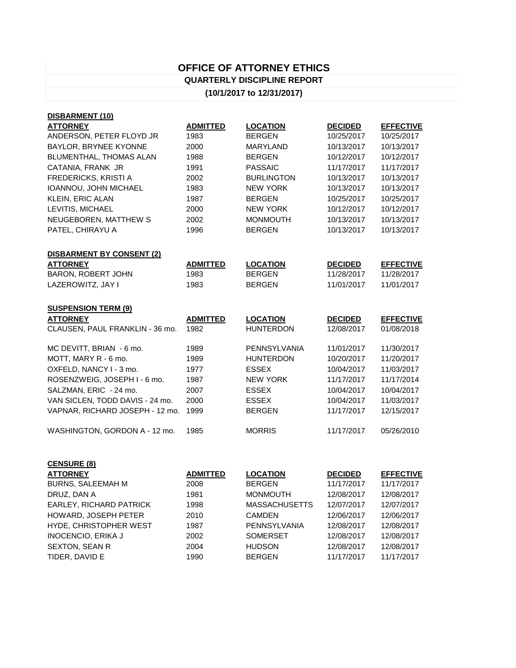## **OFFICE OF ATTORNEY ETHICS QUARTERLY DISCIPLINE REPORT**

## **(10/1/2017 to 12/31/2017)**

| DISBARMENT (10)                  |                 |                   |                |                  |
|----------------------------------|-----------------|-------------------|----------------|------------------|
| <b>ATTORNEY</b>                  | <b>ADMITTED</b> | <b>LOCATION</b>   | <b>DECIDED</b> | <b>EFFECTIVE</b> |
| ANDERSON, PETER FLOYD JR         | 1983            | <b>BERGEN</b>     | 10/25/2017     | 10/25/2017       |
| BAYLOR, BRYNEE KYONNE            | 2000            | <b>MARYLAND</b>   | 10/13/2017     | 10/13/2017       |
| BLUMENTHAL, THOMAS ALAN          | 1988            | <b>BERGEN</b>     | 10/12/2017     | 10/12/2017       |
| CATANIA, FRANK JR                | 1991            | <b>PASSAIC</b>    | 11/17/2017     | 11/17/2017       |
| <b>FREDERICKS, KRISTI A</b>      | 2002            | <b>BURLINGTON</b> | 10/13/2017     | 10/13/2017       |
| IOANNOU, JOHN MICHAEL            | 1983            | <b>NEW YORK</b>   | 10/13/2017     | 10/13/2017       |
| <b>KLEIN, ERIC ALAN</b>          | 1987            | <b>BERGEN</b>     | 10/25/2017     | 10/25/2017       |
| LEVITIS, MICHAEL                 | 2000            | <b>NEW YORK</b>   | 10/12/2017     | 10/12/2017       |
| NEUGEBOREN, MATTHEW S            | 2002            | <b>MONMOUTH</b>   | 10/13/2017     | 10/13/2017       |
| PATEL, CHIRAYU A                 | 1996            | <b>BERGEN</b>     | 10/13/2017     | 10/13/2017       |
|                                  |                 |                   |                |                  |
| <b>DISBARMENT BY CONSENT (2)</b> |                 |                   |                |                  |
| <b>ATTORNEY</b>                  | <b>ADMITTED</b> | <b>LOCATION</b>   | <b>DECIDED</b> | <b>EFFECTIVE</b> |
| <b>BARON, ROBERT JOHN</b>        | 1983            | <b>BERGEN</b>     | 11/28/2017     | 11/28/2017       |
| LAZEROWITZ, JAY I                | 1983            | <b>BERGEN</b>     | 11/01/2017     | 11/01/2017       |
|                                  |                 |                   |                |                  |
| <b>SUSPENSION TERM (9)</b>       |                 |                   |                |                  |
| <b>ATTORNEY</b>                  | <b>ADMITTED</b> | <b>LOCATION</b>   | <b>DECIDED</b> | <b>EFFECTIVE</b> |
| CLAUSEN, PAUL FRANKLIN - 36 mo.  | 1982            | <b>HUNTERDON</b>  | 12/08/2017     | 01/08/2018       |
| MC DEVITT, BRIAN - 6 mo.         | 1989            | PENNSYLVANIA      | 11/01/2017     | 11/30/2017       |
| MOTT, MARY R - 6 mo.             | 1989            | <b>HUNTERDON</b>  | 10/20/2017     | 11/20/2017       |
| OXFELD, NANCY I - 3 mo.          | 1977            | <b>ESSEX</b>      | 10/04/2017     | 11/03/2017       |
| ROSENZWEIG, JOSEPH I - 6 mo.     | 1987            | <b>NEW YORK</b>   | 11/17/2017     | 11/17/2014       |
| SALZMAN, ERIC - 24 mo.           | 2007            | <b>ESSEX</b>      | 10/04/2017     | 10/04/2017       |
| VAN SICLEN, TODD DAVIS - 24 mo.  | 2000            | <b>ESSEX</b>      | 10/04/2017     | 11/03/2017       |
| VAPNAR, RICHARD JOSEPH - 12 mo.  | 1999            | <b>BERGEN</b>     | 11/17/2017     | 12/15/2017       |
| WASHINGTON, GORDON A - 12 mo.    | 1985            | <b>MORRIS</b>     | 11/17/2017     | 05/26/2010       |

| <b>CENSURE (8)</b>             |                 |                      |                |                  |
|--------------------------------|-----------------|----------------------|----------------|------------------|
| <b>ATTORNEY</b>                | <b>ADMITTED</b> | <b>LOCATION</b>      | <b>DECIDED</b> | <b>EFFECTIVE</b> |
| <b>BURNS, SALEEMAH M</b>       | 2008            | <b>BERGEN</b>        | 11/17/2017     | 11/17/2017       |
| DRUZ, DAN A                    | 1981            | <b>MONMOUTH</b>      | 12/08/2017     | 12/08/2017       |
| <b>EARLEY, RICHARD PATRICK</b> | 1998            | <b>MASSACHUSETTS</b> | 12/07/2017     | 12/07/2017       |
| HOWARD, JOSEPH PETER           | 2010            | <b>CAMDEN</b>        | 12/06/2017     | 12/06/2017       |
| HYDE, CHRISTOPHER WEST         | 1987            | PENNSYLVANIA         | 12/08/2017     | 12/08/2017       |
| <b>INOCENCIO, ERIKA J</b>      | 2002            | <b>SOMERSET</b>      | 12/08/2017     | 12/08/2017       |
| <b>SEXTON, SEAN R</b>          | 2004            | <b>HUDSON</b>        | 12/08/2017     | 12/08/2017       |
| TIDER, DAVID E                 | 1990            | <b>BERGEN</b>        | 11/17/2017     | 11/17/2017       |